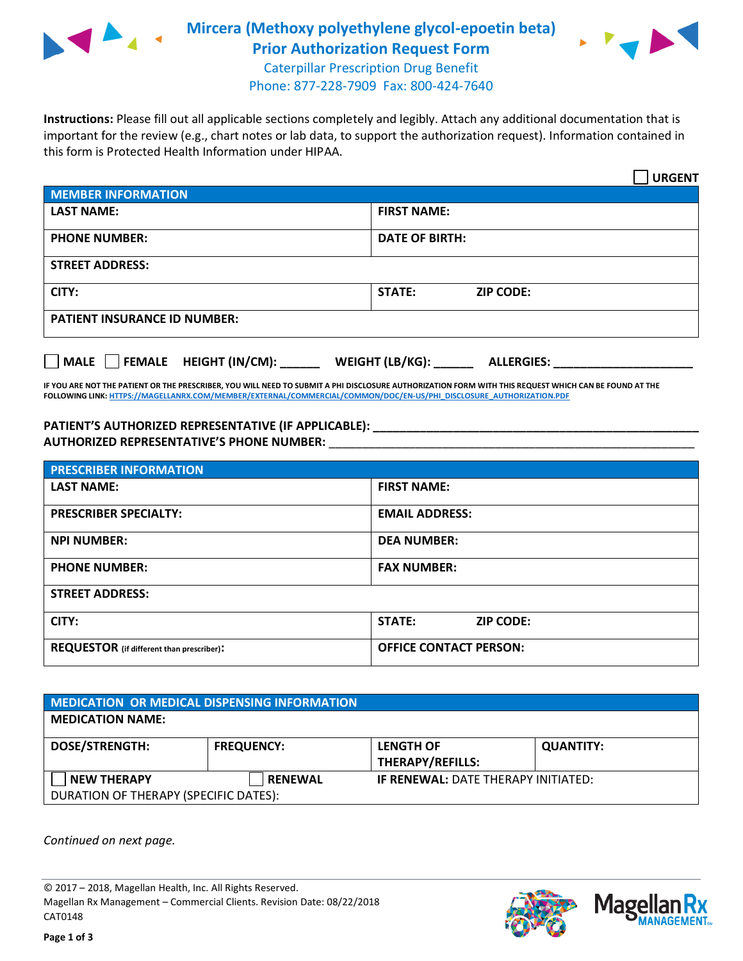

## **Mircera (Methoxy polyethylene glycol-epoetin beta) Prior Authorization Request Form**



Caterpillar Prescription Drug Benefit Phone: 877-228-7909 Fax: 800-424-7640

**Instructions:** Please fill out all applicable sections completely and legibly. Attach any additional documentation that is important for the review (e.g., chart notes or lab data, to support the authorization request). Information contained in this form is Protected Health Information under HIPAA.

|                                                 | <b>URGENT</b>                        |  |
|-------------------------------------------------|--------------------------------------|--|
| <b>MEMBER INFORMATION</b>                       |                                      |  |
| <b>LAST NAME:</b>                               | <b>FIRST NAME:</b>                   |  |
| <b>PHONE NUMBER:</b>                            | <b>DATE OF BIRTH:</b>                |  |
| <b>STREET ADDRESS:</b>                          |                                      |  |
| CITY:                                           | <b>STATE:</b><br><b>ZIP CODE:</b>    |  |
| <b>PATIENT INSURANCE ID NUMBER:</b>             |                                      |  |
| HEIGHT (IN/CM):<br><b>FEMALE</b><br><b>MALE</b> | WEIGHT (LB/KG):<br><b>ALLERGIES:</b> |  |

**IF YOU ARE NOT THE PATIENT OR THE PRESCRIBER, YOU WILL NEED TO SUBMIT A PHI DISCLOSURE AUTHORIZATION FORM WITH THIS REQUEST WHICH CAN BE FOUND AT THE FOLLOWING LINK[: HTTPS://MAGELLANRX.COM/MEMBER/EXTERNAL/COMMERCIAL/COMMON/DOC/EN-US/PHI\\_DISCLOSURE\\_AUTHORIZATION.PDF](https://magellanrx.com/member/external/commercial/common/doc/en-us/PHI_Disclosure_Authorization.pdf)**

PATIENT'S AUTHORIZED REPRESENTATIVE (IF APPLICABLE): **AUTHORIZED REPRESENTATIVE'S PHONE NUMBER:** \_\_\_\_\_\_\_\_\_\_\_\_\_\_\_\_\_\_\_\_\_\_\_\_\_\_\_\_\_\_\_\_\_\_\_\_\_\_\_\_\_\_\_\_\_\_\_\_\_\_\_\_\_\_\_

| <b>PRESCRIBER INFORMATION</b>             |                               |  |  |  |
|-------------------------------------------|-------------------------------|--|--|--|
| <b>LAST NAME:</b>                         | <b>FIRST NAME:</b>            |  |  |  |
| <b>PRESCRIBER SPECIALTY:</b>              | <b>EMAIL ADDRESS:</b>         |  |  |  |
| <b>NPI NUMBER:</b>                        | <b>DEA NUMBER:</b>            |  |  |  |
| <b>PHONE NUMBER:</b>                      | <b>FAX NUMBER:</b>            |  |  |  |
| <b>STREET ADDRESS:</b>                    |                               |  |  |  |
| CITY:                                     | STATE:<br><b>ZIP CODE:</b>    |  |  |  |
| REQUESTOR (if different than prescriber): | <b>OFFICE CONTACT PERSON:</b> |  |  |  |

| MEDICATION OR MEDICAL DISPENSING INFORMATION |                   |                                            |                  |  |  |
|----------------------------------------------|-------------------|--------------------------------------------|------------------|--|--|
| <b>MEDICATION NAME:</b>                      |                   |                                            |                  |  |  |
| <b>DOSE/STRENGTH:</b>                        | <b>FREQUENCY:</b> | <b>LENGTH OF</b>                           | <b>QUANTITY:</b> |  |  |
|                                              |                   | <b>THERAPY/REFILLS:</b>                    |                  |  |  |
| <b>NEW THERAPY</b>                           | <b>RENEWAL</b>    | <b>IF RENEWAL: DATE THERAPY INITIATED:</b> |                  |  |  |
| DURATION OF THERAPY (SPECIFIC DATES):        |                   |                                            |                  |  |  |

*Continued on next page.*

© 2017 – 2018, Magellan Health, Inc. All Rights Reserved. Magellan Rx Management – Commercial Clients. Revision Date: 08/22/2018 CAT0148



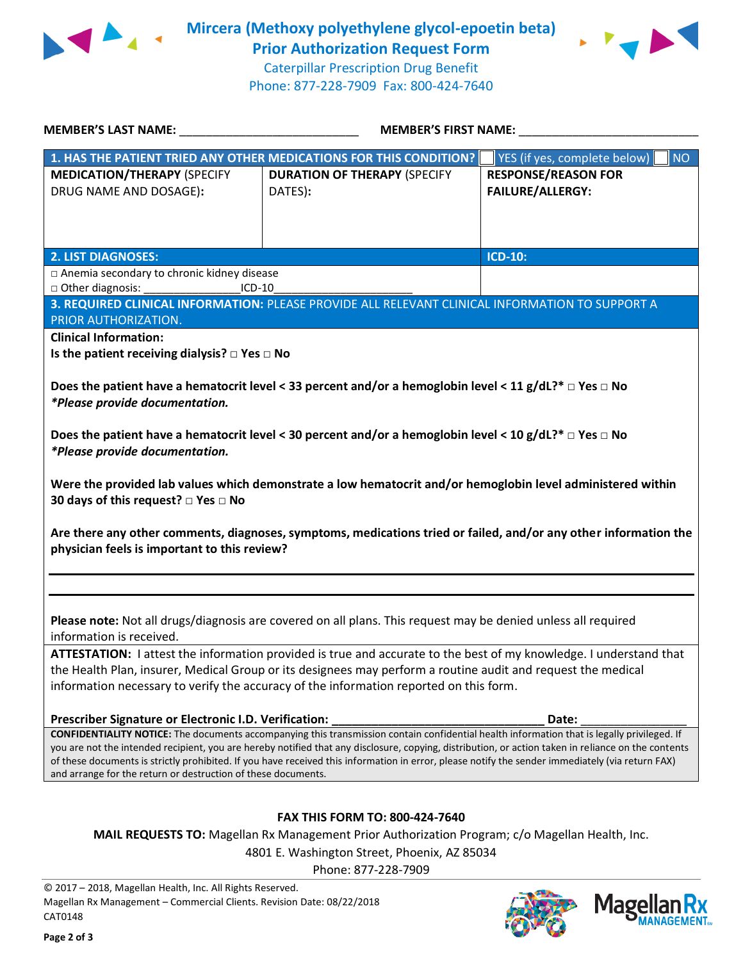

**Mircera (Methoxy polyethylene glycol-epoetin beta) Prior Authorization Request Form**



Caterpillar Prescription Drug Benefit Phone: 877-228-7909 Fax: 800-424-7640

| <b>MEMBER'S LAST NAME:</b>                                                                                                                                                                                                                                                                                                                                                                                                                                                                                              | <b>MEMBER'S FIRST NAME:</b>                                                                     |                                                       |  |  |
|-------------------------------------------------------------------------------------------------------------------------------------------------------------------------------------------------------------------------------------------------------------------------------------------------------------------------------------------------------------------------------------------------------------------------------------------------------------------------------------------------------------------------|-------------------------------------------------------------------------------------------------|-------------------------------------------------------|--|--|
|                                                                                                                                                                                                                                                                                                                                                                                                                                                                                                                         | 1. HAS THE PATIENT TRIED ANY OTHER MEDICATIONS FOR THIS CONDITION?                              | <b>NO</b><br>YES (if yes, complete below)             |  |  |
| <b>MEDICATION/THERAPY (SPECIFY</b><br>DRUG NAME AND DOSAGE):                                                                                                                                                                                                                                                                                                                                                                                                                                                            | <b>DURATION OF THERAPY (SPECIFY</b><br>DATES):                                                  | <b>RESPONSE/REASON FOR</b><br><b>FAILURE/ALLERGY:</b> |  |  |
| <b>2. LIST DIAGNOSES:</b>                                                                                                                                                                                                                                                                                                                                                                                                                                                                                               |                                                                                                 | <b>ICD-10:</b>                                        |  |  |
| □ Anemia secondary to chronic kidney disease                                                                                                                                                                                                                                                                                                                                                                                                                                                                            |                                                                                                 |                                                       |  |  |
| □ Other diagnosis:<br>$ICD-10$                                                                                                                                                                                                                                                                                                                                                                                                                                                                                          |                                                                                                 |                                                       |  |  |
|                                                                                                                                                                                                                                                                                                                                                                                                                                                                                                                         | 3. REQUIRED CLINICAL INFORMATION: PLEASE PROVIDE ALL RELEVANT CLINICAL INFORMATION TO SUPPORT A |                                                       |  |  |
| PRIOR AUTHORIZATION.                                                                                                                                                                                                                                                                                                                                                                                                                                                                                                    |                                                                                                 |                                                       |  |  |
| <b>Clinical Information:</b>                                                                                                                                                                                                                                                                                                                                                                                                                                                                                            |                                                                                                 |                                                       |  |  |
| Is the patient receiving dialysis? $\Box$ Yes $\Box$ No                                                                                                                                                                                                                                                                                                                                                                                                                                                                 |                                                                                                 |                                                       |  |  |
| Does the patient have a hematocrit level < 33 percent and/or a hemoglobin level < 11 g/dL?* $\Box$ Yes $\Box$ No<br>*Please provide documentation.                                                                                                                                                                                                                                                                                                                                                                      |                                                                                                 |                                                       |  |  |
| Does the patient have a hematocrit level < 30 percent and/or a hemoglobin level < 10 g/dL?* $\Box$ Yes $\Box$ No<br>*Please provide documentation.                                                                                                                                                                                                                                                                                                                                                                      |                                                                                                 |                                                       |  |  |
| Were the provided lab values which demonstrate a low hematocrit and/or hemoglobin level administered within<br>30 days of this request? $\square$ Yes $\square$ No                                                                                                                                                                                                                                                                                                                                                      |                                                                                                 |                                                       |  |  |
| Are there any other comments, diagnoses, symptoms, medications tried or failed, and/or any other information the<br>physician feels is important to this review?                                                                                                                                                                                                                                                                                                                                                        |                                                                                                 |                                                       |  |  |
|                                                                                                                                                                                                                                                                                                                                                                                                                                                                                                                         |                                                                                                 |                                                       |  |  |
| Please note: Not all drugs/diagnosis are covered on all plans. This request may be denied unless all required<br>information is received.                                                                                                                                                                                                                                                                                                                                                                               |                                                                                                 |                                                       |  |  |
| ATTESTATION: I attest the information provided is true and accurate to the best of my knowledge. I understand that                                                                                                                                                                                                                                                                                                                                                                                                      |                                                                                                 |                                                       |  |  |
| the Health Plan, insurer, Medical Group or its designees may perform a routine audit and request the medical<br>information necessary to verify the accuracy of the information reported on this form.                                                                                                                                                                                                                                                                                                                  |                                                                                                 |                                                       |  |  |
| Prescriber Signature or Electronic I.D. Verification:                                                                                                                                                                                                                                                                                                                                                                                                                                                                   |                                                                                                 | Date:                                                 |  |  |
| CONFIDENTIALITY NOTICE: The documents accompanying this transmission contain confidential health information that is legally privileged. If<br>you are not the intended recipient, you are hereby notified that any disclosure, copying, distribution, or action taken in reliance on the contents<br>of these documents is strictly prohibited. If you have received this information in error, please notify the sender immediately (via return FAX)<br>and arrange for the return or destruction of these documents. |                                                                                                 |                                                       |  |  |
| <b>FAX THIS FORM TO: 800-424-7640</b>                                                                                                                                                                                                                                                                                                                                                                                                                                                                                   |                                                                                                 |                                                       |  |  |
| MAIL REQUESTS TO: Magellan Rx Management Prior Authorization Program; c/o Magellan Health, Inc.                                                                                                                                                                                                                                                                                                                                                                                                                         |                                                                                                 |                                                       |  |  |
| 4801 E. Washington Street, Phoenix, AZ 85034<br>Phone: 877-228-7909                                                                                                                                                                                                                                                                                                                                                                                                                                                     |                                                                                                 |                                                       |  |  |

© 2017 – 2018, Magellan Health, Inc. All Rights Reserved. Magellan Rx Management – Commercial Clients. Revision Date: 08/22/2018 CAT0148